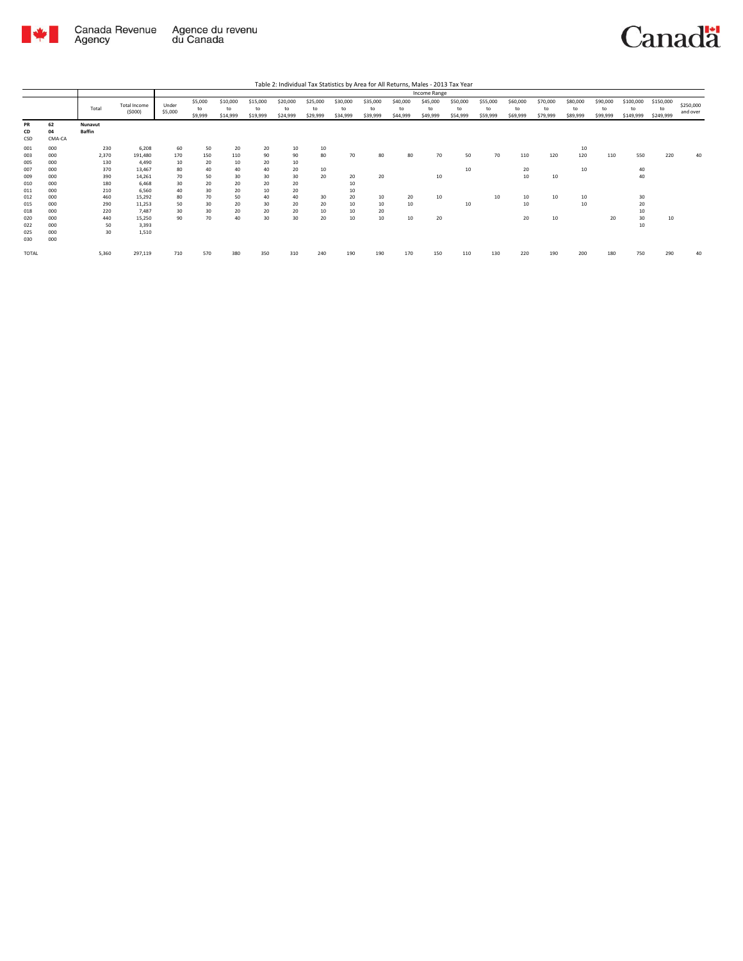

Canadä

Table 2: Individual Tax Statistics by Area for All Returns, Males - 2013 Tax Year

|                          |                          |                          |                                    |                      |                          |                            |                            |                            |                            |                            |                            |                            | Income Range               |                            |                            |                            |                            |                            |                            |                              |                              |                       |
|--------------------------|--------------------------|--------------------------|------------------------------------|----------------------|--------------------------|----------------------------|----------------------------|----------------------------|----------------------------|----------------------------|----------------------------|----------------------------|----------------------------|----------------------------|----------------------------|----------------------------|----------------------------|----------------------------|----------------------------|------------------------------|------------------------------|-----------------------|
|                          |                          | Total                    | Total Income<br>(5000)             | Under<br>\$5,000     | \$5,000<br>to<br>\$9,999 | \$10,000<br>to<br>\$14,999 | \$15,000<br>to<br>\$19,999 | \$20,000<br>to<br>\$24,999 | \$25,000<br>to<br>\$29,999 | \$30,000<br>to<br>\$34,999 | \$35,000<br>to<br>\$39,999 | \$40,000<br>to<br>\$44,999 | \$45,000<br>to<br>\$49,999 | \$50,000<br>to<br>\$54,999 | \$55,000<br>to<br>\$59,999 | \$60,000<br>to<br>\$69,999 | \$70,000<br>to<br>\$79,999 | \$80,000<br>to<br>\$89,999 | \$90,000<br>to<br>\$99,999 | \$100,000<br>to<br>\$149,999 | \$150,000<br>to<br>\$249,999 | \$250,000<br>and over |
| PR<br>CD<br>CSD          | 62<br>04<br>CMA-CA       | Nunavut<br><b>Baffin</b> |                                    |                      |                          |                            |                            |                            |                            |                            |                            |                            |                            |                            |                            |                            |                            |                            |                            |                              |                              |                       |
| 001<br>003<br>005        | 000<br>000<br>000        | 230<br>2,370<br>130      | 6,208<br>191,480<br>4.490          | 60<br>170<br>10      | 50<br>150<br>20          | 20<br>110<br>10            | 20<br>90<br>20             | 10<br>90<br>10             | 10<br>80                   | 70                         | 80                         | 80                         | 70                         | 50                         | 70                         | 110                        | 120                        | 10<br>120                  | 110                        | 550                          | 220                          | 40                    |
| 007<br>009<br>010        | 000<br>000<br>000        | 370<br>390<br>180        | 13,467<br>14,261<br>6.468          | 80<br>70<br>30       | 40<br>50<br>20           | 40<br>30<br>20             | 40<br>30<br>20             | 20<br>30<br>20             | 10<br>20                   | 20<br>10                   | 20                         |                            | 10                         | 10                         |                            | 20<br>10                   | 10                         | 10                         |                            | 40<br>40                     |                              |                       |
| 011<br>012<br>015<br>018 | 000<br>000<br>000<br>000 | 210<br>460<br>290<br>220 | 6,560<br>15,292<br>11,253<br>7.487 | 40<br>80<br>50<br>30 | 30<br>70<br>30<br>30     | 20<br>50<br>20<br>20       | 10<br>40<br>30<br>20       | 20<br>40<br>20<br>20       | 30<br>20<br>10             | 10<br>20<br>10<br>10       | 10<br>10<br>20             | 20<br>10                   | 10                         | 10                         | 10                         | 10<br>10                   | 10                         | 10<br>10                   |                            | 30<br>20<br>10               |                              |                       |
| 020<br>022<br>025<br>030 | 000<br>000<br>000<br>000 | 440<br>50<br>30          | 15,250<br>3,393<br>1,510           | 90                   | 70                       | 40                         | 30                         | 30                         | 20                         | 10                         | 10                         | 10                         | 20                         |                            |                            | 20                         | 10                         |                            | 20                         | 30<br>10                     | 10                           |                       |
| TOTAL                    |                          | 5,360                    | 297,119                            | 710                  | 570                      | 380                        | 350                        | 310                        | 240                        | 190                        | 190                        | 170                        | 150                        | 110                        | 130                        | 220                        | 190                        | 200                        | 180                        | 750                          | 290                          | 40                    |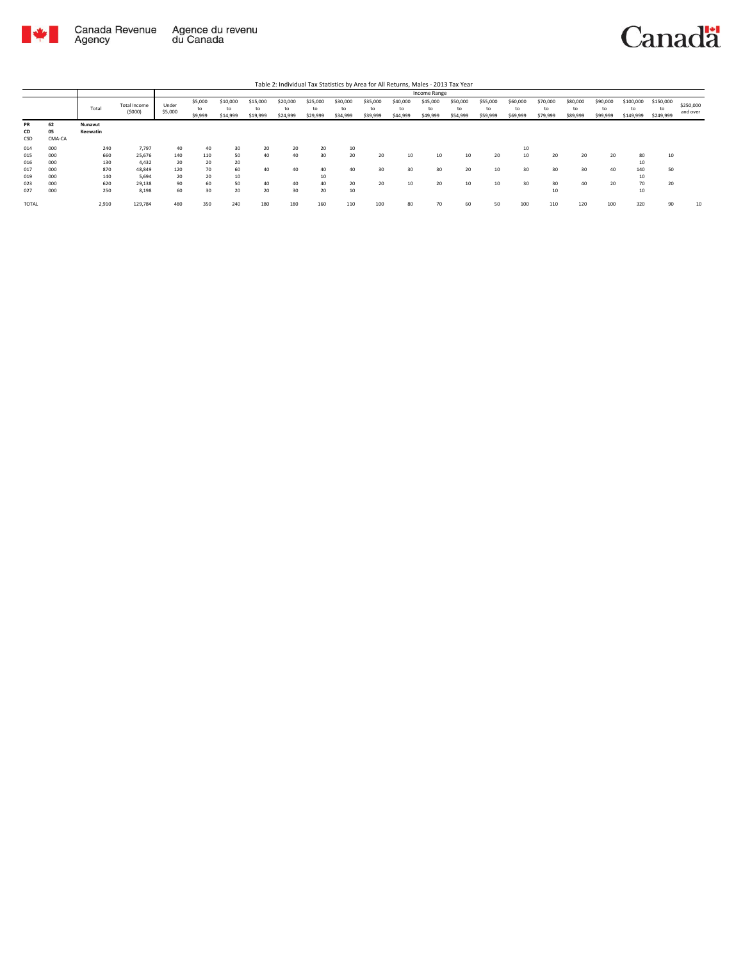

Table 2: Individual Tax Statistics by Area for All Returns, Males - 2013 Tax Year

|                 |                    |                     |                               | Income Range     |                          |                            |                            |                            |                            |                            |                            |                            |                            |                            |                            |                            |                            |                            |                            |                              |                              |                       |
|-----------------|--------------------|---------------------|-------------------------------|------------------|--------------------------|----------------------------|----------------------------|----------------------------|----------------------------|----------------------------|----------------------------|----------------------------|----------------------------|----------------------------|----------------------------|----------------------------|----------------------------|----------------------------|----------------------------|------------------------------|------------------------------|-----------------------|
|                 |                    | Total               | <b>Total Income</b><br>(5000) | Under<br>\$5,000 | \$5,000<br>to<br>\$9,999 | \$10,000<br>to<br>\$14,999 | \$15,000<br>to<br>\$19,999 | \$20,000<br>to<br>\$24,999 | \$25,000<br>to<br>\$29,999 | \$30,000<br>to<br>\$34,999 | \$35,000<br>to<br>\$39,999 | \$40,000<br>to<br>\$44,999 | \$45,000<br>to<br>\$49,999 | \$50,000<br>to<br>\$54,999 | \$55,000<br>to<br>\$59,999 | \$60,000<br>to<br>\$69,999 | \$70,000<br>to<br>\$79,999 | \$80,000<br>to<br>\$89,999 | \$90,000<br>to<br>\$99,999 | \$100,000<br>to<br>\$149,999 | \$150,000<br>to<br>\$249,999 | \$250,000<br>and over |
| PR<br>CD<br>CSD | 62<br>05<br>CMA-CA | Nunavut<br>Keewatin |                               |                  |                          |                            |                            |                            |                            |                            |                            |                            |                            |                            |                            |                            |                            |                            |                            |                              |                              |                       |
| 014             | 000                | 240                 | 7,797                         | 40               | 40                       | 30                         | 20                         | 20                         | 20                         | 10                         |                            |                            |                            |                            |                            | 10                         |                            |                            |                            |                              |                              |                       |
| 015             | 000                | 660                 | 25,676                        | 140              | 110                      | 50                         | 40                         | 40                         | 30                         | 20                         | 20                         | 10                         | 10                         | 10                         | 20                         |                            | 20                         | 20                         | 20                         | 80                           | 10                           |                       |
| 016             | 000                | 130                 | 4,432                         | 20               | 20                       | 20                         |                            |                            |                            |                            |                            |                            |                            |                            |                            |                            |                            |                            |                            | 10                           |                              |                       |
| 017             | 000                | 870                 | 48,849                        | 120              | 70                       | 60                         | 40                         | 40                         | 40                         | 40                         | 30                         | 30                         | 30                         | 20                         | 10                         |                            | 30                         | 30                         | 40                         | 140                          | 50                           |                       |
| 019             | 000                | 140                 | 5,694                         | 20               | 20                       | 10                         |                            |                            | 10                         |                            |                            |                            |                            |                            |                            |                            |                            |                            |                            | 10                           |                              |                       |
| 023             | 000                | 620                 | 29,138                        | 90               | 60                       | 50                         | 40                         | 40                         | 40                         | 20                         | 20                         | 10                         | 20                         | 10                         | 10                         | 30                         | 30                         | 40                         | 20                         | 70                           | 20                           |                       |
| 027             | 000                | 250                 | 8,198                         | 60               | 30                       | 20                         | 20                         | 30                         | 20                         | 10                         |                            |                            |                            |                            |                            |                            | 10                         |                            |                            | 10                           |                              |                       |
| TOTAL           |                    | 2,910               | 129,784                       | 480              | 350                      | 240                        | 180                        | 180                        | 160                        | 110                        | 100                        | 80                         | 70                         | 60                         | 50                         | 100                        | 110                        | 120                        | 100                        | 320                          | 90                           | 10                    |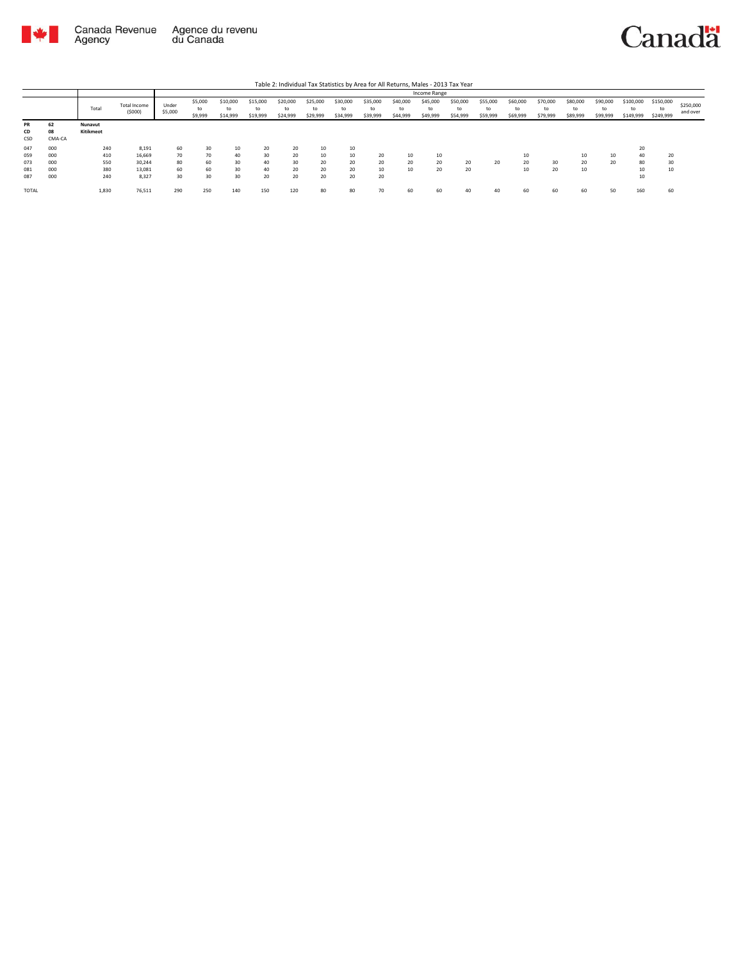

## Canadä

Table 2: Individual Tax Statistics by Area for All Returns, Males - 2013 Tax Year

|              |        |           |                        | Income Range     |                          |                            |                            |                            |                            |                            |                            |                            |                            |                            |                            |                            |                            |                            |                            |                              |                              |                       |
|--------------|--------|-----------|------------------------|------------------|--------------------------|----------------------------|----------------------------|----------------------------|----------------------------|----------------------------|----------------------------|----------------------------|----------------------------|----------------------------|----------------------------|----------------------------|----------------------------|----------------------------|----------------------------|------------------------------|------------------------------|-----------------------|
|              |        | Total     | Total Income<br>(5000) | Under<br>\$5,000 | \$5,000<br>to<br>\$9,999 | \$10,000<br>to<br>\$14,999 | \$15,000<br>to<br>\$19,999 | \$20,000<br>to<br>\$24,999 | \$25,000<br>to<br>\$29,999 | \$30,000<br>to<br>\$34,999 | \$35,000<br>to<br>\$39,999 | \$40,000<br>to<br>\$44,999 | \$45,000<br>to<br>\$49,999 | \$50,000<br>to<br>\$54,999 | \$55,000<br>to<br>\$59,999 | \$60,000<br>to<br>\$69,999 | \$70,000<br>to<br>\$79,999 | \$80,000<br>to<br>\$89,999 | \$90,000<br>to<br>\$99,999 | \$100,000<br>to<br>\$149,999 | \$150,000<br>to<br>\$249,999 | \$250,000<br>and over |
| <b>PR</b>    | 62     | Nunavut   |                        |                  |                          |                            |                            |                            |                            |                            |                            |                            |                            |                            |                            |                            |                            |                            |                            |                              |                              |                       |
| CD           | 08     | Kitikmeot |                        |                  |                          |                            |                            |                            |                            |                            |                            |                            |                            |                            |                            |                            |                            |                            |                            |                              |                              |                       |
| CSD          | CMA-CA |           |                        |                  |                          |                            |                            |                            |                            |                            |                            |                            |                            |                            |                            |                            |                            |                            |                            |                              |                              |                       |
| 047          | 000    | 240       | 8.191                  | 60               | 30                       | 10                         | 20                         | 20                         | 10                         | 10                         |                            |                            |                            |                            |                            |                            |                            |                            |                            | 20                           |                              |                       |
| 059          | 000    | 410       | 16,669                 | 70               | 70                       | 40                         | 30                         | 20                         | 10                         | 10                         | 20                         | 10                         | 10                         |                            |                            | 10                         |                            | 10                         | 10                         | 40                           | 20                           |                       |
| 073          | 000    | 550       | 30,244                 | 80               | 60                       | 30                         | 40                         | 30                         | 20                         | 20                         | 20                         | 20                         | 20                         | 20                         | 20                         | 20                         | 30                         | 20                         | 20                         | 80                           | 30                           |                       |
| 081          | 000    | 380       | 13,081                 | 60               | 60                       | 30                         | 40                         | 20                         | 20                         | 20                         | 10                         | 10                         | 20                         | 20                         |                            | 10                         | 20                         | 10                         |                            | 10                           | 10                           |                       |
| 087          | 000    | 240       | 8.327                  | 30               | 30                       | 30                         | 20                         | 20                         | 20                         | 20                         | 20                         |                            |                            |                            |                            |                            |                            |                            |                            | 10                           |                              |                       |
| <b>TOTAL</b> |        | 1,830     | 76,511                 | 290              | 250                      | 140                        | 150                        | 120                        | 80                         | 80                         | 70                         | 60                         | 60                         | 40                         | 40                         | 60                         | 60                         | 60                         | 50                         | 160                          | 60                           |                       |